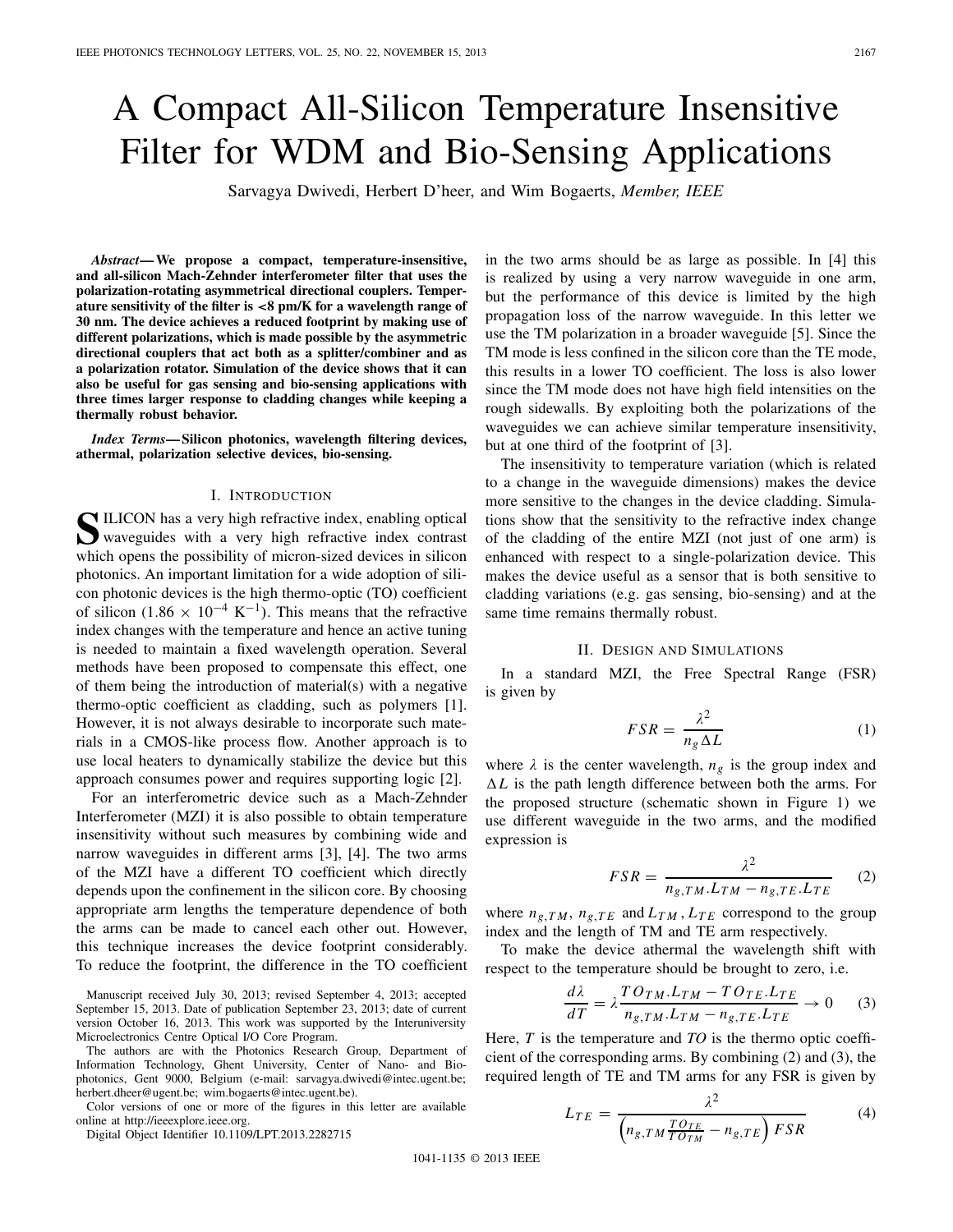# A Compact All-Silicon Temperature Insensitive Filter for WDM and Bio-Sensing Applications

Sarvagya Dwivedi, Herbert D'heer, and Wim Bogaerts, *Member, IEEE*

*Abstract***— We propose a compact, temperature-insensitive, and all-silicon Mach-Zehnder interferometer filter that uses the polarization-rotating asymmetrical directional couplers. Temperature sensitivity of the filter is** *<***8 pm/K for a wavelength range of 30 nm. The device achieves a reduced footprint by making use of different polarizations, which is made possible by the asymmetric directional couplers that act both as a splitter/combiner and as a polarization rotator. Simulation of the device shows that it can also be useful for gas sensing and bio-sensing applications with three times larger response to cladding changes while keeping a thermally robust behavior.**

*Index Terms***— Silicon photonics, wavelength filtering devices, athermal, polarization selective devices, bio-sensing.**

#### I. INTRODUCTION

**S**ILICON has a very high refractive index, enabling optical waveguides with a very high refractive index contrast which opens the possibility of micron-sized devices in silicon photonics. An important limitation for a wide adoption of silicon photonic devices is the high thermo-optic (TO) coefficient of silicon (1.86  $\times$  10<sup>-4</sup> K<sup>-1</sup>). This means that the refractive index changes with the temperature and hence an active tuning is needed to maintain a fixed wavelength operation. Several methods have been proposed to compensate this effect, one of them being the introduction of material(s) with a negative thermo-optic coefficient as cladding, such as polymers [1]. However, it is not always desirable to incorporate such materials in a CMOS-like process flow. Another approach is to use local heaters to dynamically stabilize the device but this approach consumes power and requires supporting logic [2].

For an interferometric device such as a Mach-Zehnder Interferometer (MZI) it is also possible to obtain temperature insensitivity without such measures by combining wide and narrow waveguides in different arms [3], [4]. The two arms of the MZI have a different TO coefficient which directly depends upon the confinement in the silicon core. By choosing appropriate arm lengths the temperature dependence of both the arms can be made to cancel each other out. However, this technique increases the device footprint considerably. To reduce the footprint, the difference in the TO coefficient

Manuscript received July 30, 2013; revised September 4, 2013; accepted September 15, 2013. Date of publication September 23, 2013; date of current version October 16, 2013. This work was supported by the Interuniversity Microelectronics Centre Optical I/O Core Program.

The authors are with the Photonics Research Group, Department of Information Technology, Ghent University, Center of Nano- and Biophotonics, Gent 9000, Belgium (e-mail: sarvagya.dwivedi@intec.ugent.be; herbert.dheer@ugent.be; wim.bogaerts@intec.ugent.be).

Color versions of one or more of the figures in this letter are available online at http://ieeexplore.ieee.org.

Digital Object Identifier 10.1109/LPT.2013.2282715

in the two arms should be as large as possible. In [4] this is realized by using a very narrow waveguide in one arm, but the performance of this device is limited by the high propagation loss of the narrow waveguide. In this letter we use the TM polarization in a broader waveguide [5]. Since the TM mode is less confined in the silicon core than the TE mode, this results in a lower TO coefficient. The loss is also lower since the TM mode does not have high field intensities on the rough sidewalls. By exploiting both the polarizations of the waveguides we can achieve similar temperature insensitivity, but at one third of the footprint of [3].

The insensitivity to temperature variation (which is related to a change in the waveguide dimensions) makes the device more sensitive to the changes in the device cladding. Simulations show that the sensitivity to the refractive index change of the cladding of the entire MZI (not just of one arm) is enhanced with respect to a single-polarization device. This makes the device useful as a sensor that is both sensitive to cladding variations (e.g. gas sensing, bio-sensing) and at the same time remains thermally robust.

# II. DESIGN AND SIMULATIONS

In a standard MZI, the Free Spectral Range (FSR) is given by

$$
FSR = \frac{\lambda^2}{n_g \Delta L} \tag{1}
$$

where  $\lambda$  is the center wavelength,  $n_g$  is the group index and  $\Delta L$  is the path length difference between both the arms. For the proposed structure (schematic shown in Figure 1) we use different waveguide in the two arms, and the modified expression is

$$
FSR = \frac{\lambda^2}{n_{g,TM}.L_{TM} - n_{g,TE}.L_{TE}} \qquad (2)
$$

where  $n_{g,TM}$ ,  $n_{g,TE}$  and  $L_{TM}$ ,  $L_{TE}$  correspond to the group index and the length of TM and TE arm respectively.

To make the device athermal the wavelength shift with respect to the temperature should be brought to zero, i.e.

$$
\frac{d\lambda}{dT} = \lambda \frac{T O_{TM}.L_{TM} - T O_{TE}.L_{TE}}{n_{g,TM}.L_{TM} - n_{g,TE}.L_{TE}} \to 0
$$
 (3)

Here, *T* is the temperature and *TO* is the thermo optic coefficient of the corresponding arms. By combining (2) and (3), the required length of TE and TM arms for any FSR is given by

$$
L_{TE} = \frac{\lambda^2}{\left(n_{g,TM}\frac{TO_{TE}}{TO_{TM}} - n_{g,TE}\right)FSR}
$$
 (4)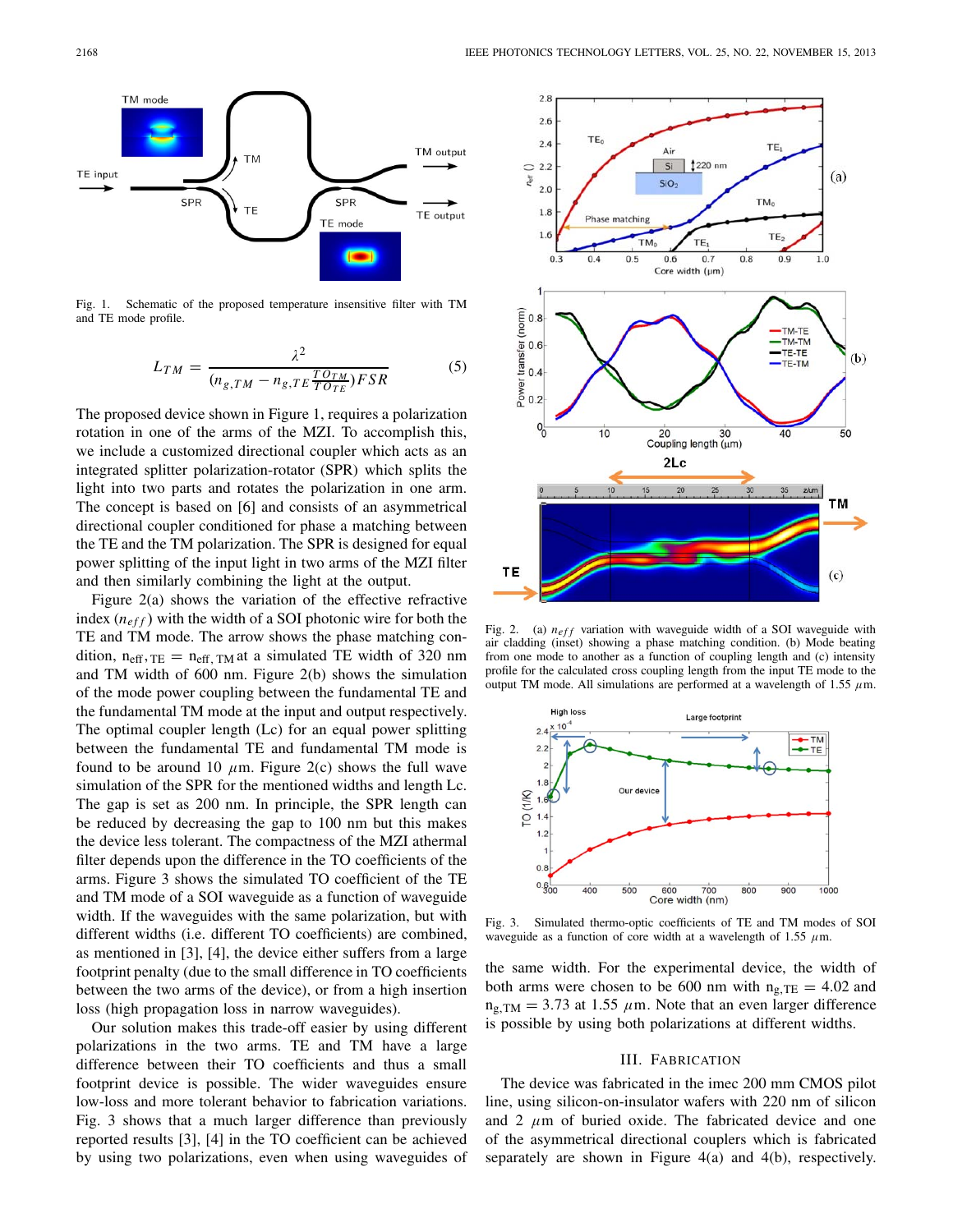

Fig. 1. Schematic of the proposed temperature insensitive filter with TM and TE mode profile.

$$
L_{TM} = \frac{\lambda^2}{(n_{g,TM} - n_{g,TE}\frac{TO_{TM}}{TO_{TE}})FSR}
$$
 (5)

The proposed device shown in Figure 1, requires a polarization rotation in one of the arms of the MZI. To accomplish this, we include a customized directional coupler which acts as an integrated splitter polarization-rotator (SPR) which splits the light into two parts and rotates the polarization in one arm. The concept is based on [6] and consists of an asymmetrical directional coupler conditioned for phase a matching between the TE and the TM polarization. The SPR is designed for equal power splitting of the input light in two arms of the MZI filter and then similarly combining the light at the output.

Figure 2(a) shows the variation of the effective refractive index  $(n<sub>eff</sub>)$  with the width of a SOI photonic wire for both the TE and TM mode. The arrow shows the phase matching condition,  $n_{\text{eff}}$ ,  $T_{\text{E}} = n_{\text{eff}}$ ,  $T_{\text{M}}$  at a simulated TE width of 320 nm and TM width of 600 nm. Figure 2(b) shows the simulation of the mode power coupling between the fundamental TE and the fundamental TM mode at the input and output respectively. The optimal coupler length (Lc) for an equal power splitting between the fundamental TE and fundamental TM mode is found to be around 10  $\mu$ m. Figure 2(c) shows the full wave simulation of the SPR for the mentioned widths and length Lc. The gap is set as 200 nm. In principle, the SPR length can be reduced by decreasing the gap to 100 nm but this makes the device less tolerant. The compactness of the MZI athermal filter depends upon the difference in the TO coefficients of the arms. Figure 3 shows the simulated TO coefficient of the TE and TM mode of a SOI waveguide as a function of waveguide width. If the waveguides with the same polarization, but with different widths (i.e. different TO coefficients) are combined, as mentioned in [3], [4], the device either suffers from a large footprint penalty (due to the small difference in TO coefficients between the two arms of the device), or from a high insertion loss (high propagation loss in narrow waveguides).

Our solution makes this trade-off easier by using different polarizations in the two arms. TE and TM have a large difference between their TO coefficients and thus a small footprint device is possible. The wider waveguides ensure low-loss and more tolerant behavior to fabrication variations. Fig. 3 shows that a much larger difference than previously reported results [3], [4] in the TO coefficient can be achieved by using two polarizations, even when using waveguides of



Fig. 2. (a)  $n_{eff}$  variation with waveguide width of a SOI waveguide with air cladding (inset) showing a phase matching condition. (b) Mode beating from one mode to another as a function of coupling length and (c) intensity profile for the calculated cross coupling length from the input TE mode to the output TM mode. All simulations are performed at a wavelength of 1.55  $\mu$ m.



Fig. 3. Simulated thermo-optic coefficients of TE and TM modes of SOI waveguide as a function of core width at a wavelength of 1.55  $\mu$ m.

the same width. For the experimental device, the width of both arms were chosen to be 600 nm with  $n_{g,TE} = 4.02$  and  $n_{\rm g, TM} = 3.73$  at 1.55  $\mu$ m. Note that an even larger difference is possible by using both polarizations at different widths.

### III. FABRICATION

The device was fabricated in the imec 200 mm CMOS pilot line, using silicon-on-insulator wafers with 220 nm of silicon and 2  $\mu$ m of buried oxide. The fabricated device and one of the asymmetrical directional couplers which is fabricated separately are shown in Figure 4(a) and 4(b), respectively.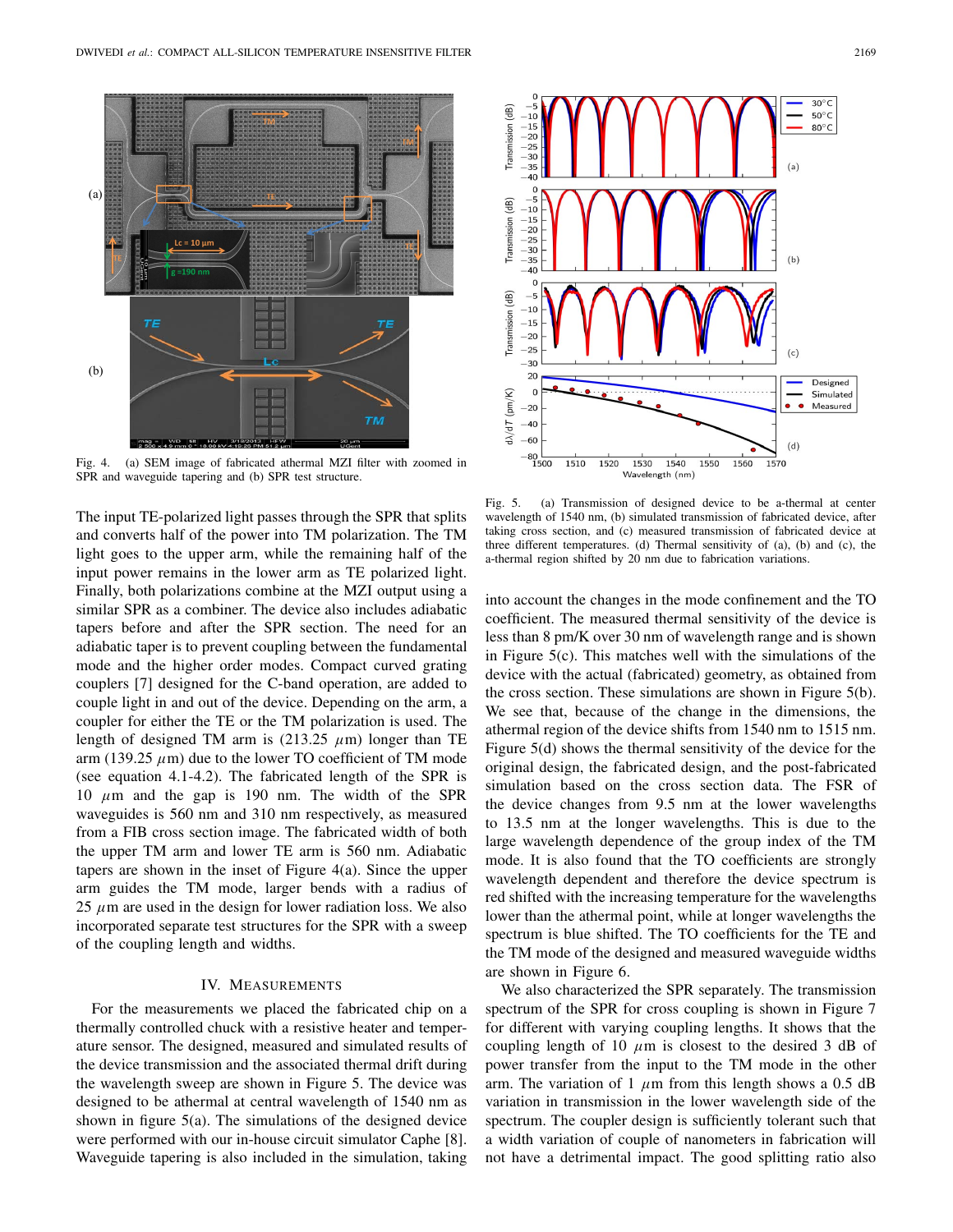

Fig. 4. (a) SEM image of fabricated athermal MZI filter with zoomed in SPR and waveguide tapering and (b) SPR test structure.

The input TE-polarized light passes through the SPR that splits and converts half of the power into TM polarization. The TM light goes to the upper arm, while the remaining half of the input power remains in the lower arm as TE polarized light. Finally, both polarizations combine at the MZI output using a similar SPR as a combiner. The device also includes adiabatic tapers before and after the SPR section. The need for an adiabatic taper is to prevent coupling between the fundamental mode and the higher order modes. Compact curved grating couplers [7] designed for the C-band operation, are added to couple light in and out of the device. Depending on the arm, a coupler for either the TE or the TM polarization is used. The length of designed TM arm is (213.25  $\mu$ m) longer than TE arm (139.25  $\mu$ m) due to the lower TO coefficient of TM mode (see equation 4.1-4.2). The fabricated length of the SPR is 10  $\mu$ m and the gap is 190 nm. The width of the SPR waveguides is 560 nm and 310 nm respectively, as measured from a FIB cross section image. The fabricated width of both the upper TM arm and lower TE arm is 560 nm. Adiabatic tapers are shown in the inset of Figure 4(a). Since the upper arm guides the TM mode, larger bends with a radius of 25  $\mu$ m are used in the design for lower radiation loss. We also incorporated separate test structures for the SPR with a sweep of the coupling length and widths.

### IV. MEASUREMENTS

For the measurements we placed the fabricated chip on a thermally controlled chuck with a resistive heater and temperature sensor. The designed, measured and simulated results of the device transmission and the associated thermal drift during the wavelength sweep are shown in Figure 5. The device was designed to be athermal at central wavelength of 1540 nm as shown in figure 5(a). The simulations of the designed device were performed with our in-house circuit simulator Caphe [8]. Waveguide tapering is also included in the simulation, taking



Fig. 5. (a) Transmission of designed device to be a-thermal at center wavelength of 1540 nm, (b) simulated transmission of fabricated device, after taking cross section, and (c) measured transmission of fabricated device at three different temperatures. (d) Thermal sensitivity of (a), (b) and (c), the a-thermal region shifted by 20 nm due to fabrication variations.

into account the changes in the mode confinement and the TO coefficient. The measured thermal sensitivity of the device is less than 8 pm/K over 30 nm of wavelength range and is shown in Figure 5(c). This matches well with the simulations of the device with the actual (fabricated) geometry, as obtained from the cross section. These simulations are shown in Figure 5(b). We see that, because of the change in the dimensions, the athermal region of the device shifts from 1540 nm to 1515 nm. Figure 5(d) shows the thermal sensitivity of the device for the original design, the fabricated design, and the post-fabricated simulation based on the cross section data. The FSR of the device changes from 9.5 nm at the lower wavelengths to 13.5 nm at the longer wavelengths. This is due to the large wavelength dependence of the group index of the TM mode. It is also found that the TO coefficients are strongly wavelength dependent and therefore the device spectrum is red shifted with the increasing temperature for the wavelengths lower than the athermal point, while at longer wavelengths the spectrum is blue shifted. The TO coefficients for the TE and the TM mode of the designed and measured waveguide widths are shown in Figure 6.

We also characterized the SPR separately. The transmission spectrum of the SPR for cross coupling is shown in Figure 7 for different with varying coupling lengths. It shows that the coupling length of 10  $\mu$ m is closest to the desired 3 dB of power transfer from the input to the TM mode in the other arm. The variation of 1  $\mu$ m from this length shows a 0.5 dB variation in transmission in the lower wavelength side of the spectrum. The coupler design is sufficiently tolerant such that a width variation of couple of nanometers in fabrication will not have a detrimental impact. The good splitting ratio also